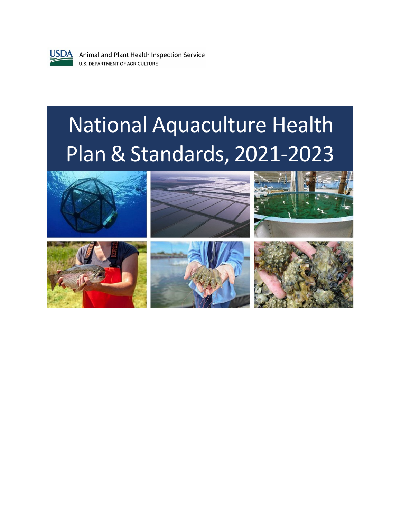

**USDA** Animal and Plant Health Inspection Service **U.S. DEPARTMENT OF AGRICULTURE** 

# National Aquaculture Health Plan & Standards, 2021-2023

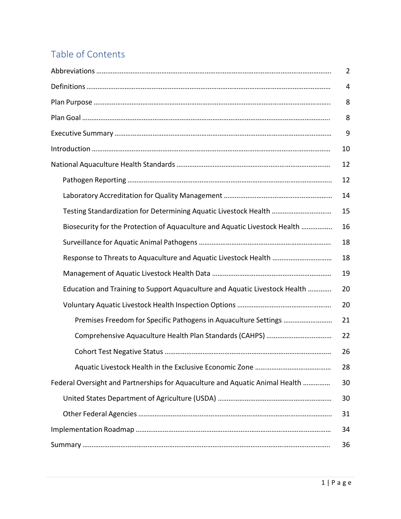# Table of Contents

|                                                                              | 10 |  |  |  |
|------------------------------------------------------------------------------|----|--|--|--|
|                                                                              | 12 |  |  |  |
|                                                                              | 12 |  |  |  |
|                                                                              |    |  |  |  |
| Testing Standardization for Determining Aquatic Livestock Health             | 15 |  |  |  |
| Biosecurity for the Protection of Aquaculture and Aquatic Livestock Health   |    |  |  |  |
|                                                                              | 18 |  |  |  |
| Response to Threats to Aquaculture and Aquatic Livestock Health              | 18 |  |  |  |
|                                                                              | 19 |  |  |  |
| Education and Training to Support Aquaculture and Aquatic Livestock Health   | 20 |  |  |  |
|                                                                              | 20 |  |  |  |
|                                                                              | 21 |  |  |  |
|                                                                              | 22 |  |  |  |
|                                                                              | 26 |  |  |  |
|                                                                              | 28 |  |  |  |
| Federal Oversight and Partnerships for Aquaculture and Aquatic Animal Health | 30 |  |  |  |
|                                                                              | 30 |  |  |  |
|                                                                              | 31 |  |  |  |
|                                                                              | 34 |  |  |  |
|                                                                              | 36 |  |  |  |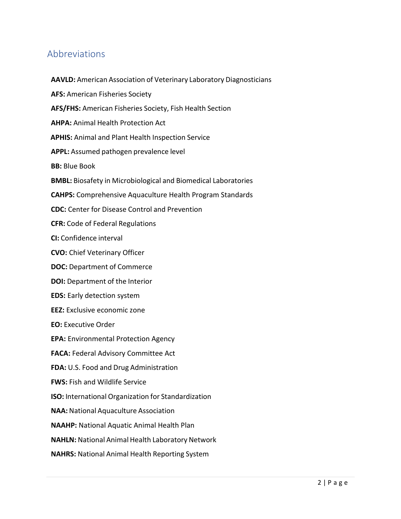# Abbreviations

**AAVLD:** American Association of Veterinary Laboratory Diagnosticians **AFS:** American Fisheries Society **AFS/FHS:** American Fisheries Society, Fish Health Section **AHPA:** Animal Health Protection Act **APHIS:** Animal and Plant Health Inspection Service **APPL:** Assumed pathogen prevalence level **BB:** Blue Book **BMBL:** Biosafety in Microbiological and Biomedical Laboratories **CAHPS:** Comprehensive Aquaculture Health Program Standards **CDC:** Center for Disease Control and Prevention **CFR:** Code of Federal Regulations **CI:** Confidence interval **CVO:** Chief Veterinary Officer **DOC:** Department of Commerce **DOI:** Department of the Interior **EDS:** Early detection system **EEZ:** Exclusive economic zone **EO:** Executive Order **EPA:** Environmental Protection Agency **FACA:** Federal Advisory Committee Act **FDA:** U.S. Food and Drug Administration **FWS:** Fish and Wildlife Service **ISO:** International Organization for Standardization **NAA:** National Aquaculture Association **NAAHP:** National Aquatic Animal Health Plan **NAHLN:** National Animal Health Laboratory Network **NAHRS:** National Animal Health Reporting System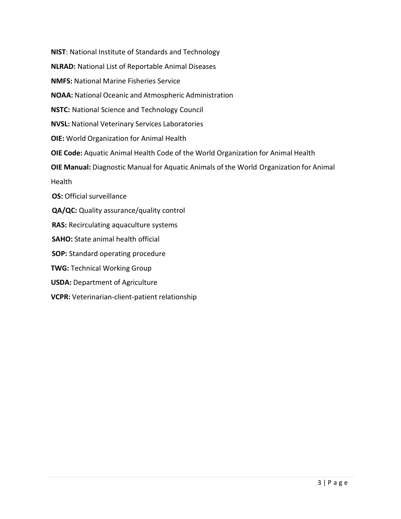**NIST**: National Institute of Standards and Technology **NLRAD:** National List of Reportable Animal Diseases **NMFS:** National Marine Fisheries Service **NOAA:** National Oceanic and Atmospheric Administration **NSTC:** National Science and Technology Council **NVSL:** National Veterinary Services Laboratories **OIE:** World Organization for Animal Health **OIE Code:** Aquatic Animal Health Code of the World Organization for Animal Health **OIE Manual:** Diagnostic Manual for Aquatic Animals of the World Organization for Animal Health **OS:** Official surveillance **QA/QC:** Quality assurance/quality control **RAS:** Recirculating aquaculture systems **SAHO:** State animal health official **SOP:** Standard operating procedure **TWG:** Technical Working Group **USDA:** Department of Agriculture **VCPR:** Veterinarian-client-patient relationship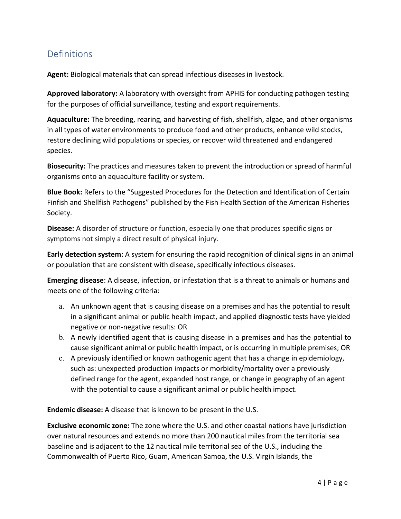# Definitions

**Agent:** Biological materials that can spread infectious diseases in livestock.

**Approved laboratory:** A laboratory with oversight from APHIS for conducting pathogen testing for the purposes of official surveillance, testing and export requirements.

**Aquaculture:** The breeding, rearing, and harvesting of fish, shellfish, algae, and other organisms in all types of water environments to produce food and other products, enhance wild stocks, restore declining wild populations or species, or recover wild threatened and endangered species.

**Biosecurity:** The practices and measures taken to prevent the introduction or spread of harmful organisms onto an aquaculture facility or system.

**Blue Book:** Refers to the "Suggested Procedures for the Detection and Identification of Certain Finfish and Shellfish Pathogens" published by the Fish Health Section of the American Fisheries Society.

**Disease:** A disorder of structure or function, especially one that produces specific signs or symptoms not simply a direct result of physical injury.

**Early detection system:** A system for ensuring the rapid recognition of clinical signs in an animal or population that are consistent with disease, specifically infectious diseases.

**Emerging disease**: A disease, infection, or infestation that is a threat to animals or humans and meets one of the following criteria:

- a. An unknown agent that is causing disease on a premises and has the potential to result in a significant animal or public health impact, and applied diagnostic tests have yielded negative or non-negative results: OR
- b. A newly identified agent that is causing disease in a premises and has the potential to cause significant animal or public health impact, or is occurring in multiple premises; OR
- c. A previously identified or known pathogenic agent that has a change in epidemiology, such as: unexpected production impacts or morbidity/mortality over a previously defined range for the agent, expanded host range, or change in geography of an agent with the potential to cause a significant animal or public health impact.

**Endemic disease:** A disease that is known to be present in the U.S.

**Exclusive economic zone:** The zone where the U.S. and other coastal nations have jurisdiction over natural resources and extends no more than 200 nautical miles from the territorial sea baseline and is adjacent to the 12 nautical mile territorial sea of the U.S., including the Commonwealth of Puerto Rico, Guam, American Samoa, the U.S. Virgin Islands, the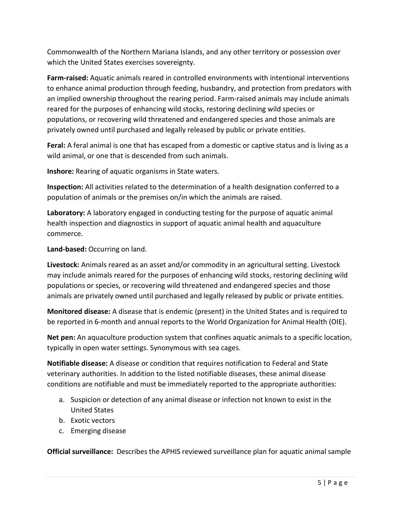Commonwealth of the Northern Mariana Islands, and any other territory or possession over which the United States exercises sovereignty.

**Farm-raised:** Aquatic animals reared in controlled environments with intentional interventions to enhance animal production through feeding, husbandry, and protection from predators with an implied ownership throughout the rearing period. Farm-raised animals may include animals reared for the purposes of enhancing wild stocks, restoring declining wild species or populations, or recovering wild threatened and endangered species and those animals are privately owned until purchased and legally released by public or private entities.

**Feral:** A feral animal is one that has escaped from a domestic or captive status and is living as a wild animal, or one that is descended from such animals.

**Inshore:** Rearing of aquatic organisms in State waters.

**Inspection:** All activities related to the determination of a health designation conferred to a population of animals or the premises on/in which the animals are raised.

**Laboratory:** A laboratory engaged in conducting testing for the purpose of aquatic animal health inspection and diagnostics in support of aquatic animal health and aquaculture commerce.

**Land-based:** Occurring on land.

**Livestock:** Animals reared as an asset and/or commodity in an agricultural setting. Livestock may include animals reared for the purposes of enhancing wild stocks, restoring declining wild populations or species, or recovering wild threatened and endangered species and those animals are privately owned until purchased and legally released by public or private entities.

**Monitored disease:** A disease that is endemic (present) in the United States and is required to be reported in 6-month and annual reports to the World Organization for Animal Health (OIE).

**Net pen:** An aquaculture production system that confines aquatic animals to a specific location, typically in open water settings. Synonymous with sea cages.

**Notifiable disease:** A disease or condition that requires notification to Federal and State veterinary authorities. In addition to the listed notifiable diseases, these animal disease conditions are notifiable and must be immediately reported to the appropriate authorities:

- a. Suspicion or detection of any animal disease or infection not known to exist in the United States
- b. Exotic vectors
- c. Emerging disease

**Official surveillance:** Describes the APHIS reviewed surveillance plan for aquatic animal sample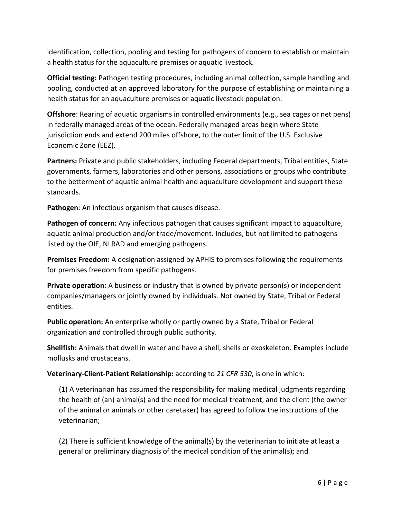identification, collection, pooling and testing for pathogens of concern to establish or maintain a health status for the aquaculture premises or aquatic livestock.

**Official testing:** Pathogen testing procedures, including animal collection, sample handling and pooling, conducted at an approved laboratory for the purpose of establishing or maintaining a health status for an aquaculture premises or aquatic livestock population.

**Offshore**: Rearing of aquatic organisms in controlled environments (e.g., sea cages or net pens) in federally managed areas of the ocean. Federally managed areas begin where State jurisdiction ends and extend 200 miles offshore, to the outer limit of the U.S. Exclusive Economic Zone (EEZ).

**Partners:** Private and public stakeholders, including Federal departments, Tribal entities, State governments, farmers, laboratories and other persons, associations or groups who contribute to the betterment of aquatic animal health and aquaculture development and support these standards.

**Pathogen**: An infectious organism that causes disease.

**Pathogen of concern:** Any infectious pathogen that causes significant impact to aquaculture, aquatic animal production and/or trade/movement. Includes, but not limited to pathogens listed by the OIE, NLRAD and emerging pathogens.

**Premises Freedom:** A designation assigned by APHIS to premises following the requirements for premises freedom from specific pathogens.

**Private operation**: A business or industry that is owned by private person(s) or independent companies/managers or jointly owned by individuals. Not owned by State, Tribal or Federal entities.

**Public operation:** An enterprise wholly or partly owned by a State, Tribal or Federal organization and controlled through public authority.

**Shellfish:** Animals that dwell in water and have a shell, shells or exoskeleton. Examples include mollusks and crustaceans.

**Veterinary-Client-Patient Relationship:** according to *21 CFR 530*, is one in which:

(1) A veterinarian has assumed the responsibility for making medical judgments regarding the health of (an) animal(s) and the need for medical treatment, and the client (the owner of the animal or animals or other caretaker) has agreed to follow the instructions of the veterinarian;

(2) There is sufficient knowledge of the animal(s) by the veterinarian to initiate at least a general or preliminary diagnosis of the medical condition of the animal(s); and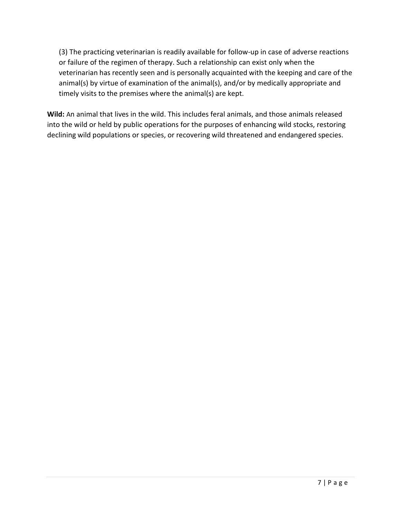(3) The practicing veterinarian is readily available for follow-up in case of adverse reactions or failure of the regimen of therapy. Such a relationship can exist only when the veterinarian has recently seen and is personally acquainted with the keeping and care of the animal(s) by virtue of examination of the animal(s), and/or by medically appropriate and timely visits to the premises where the animal(s) are kept.

**Wild:** An animal that lives in the wild. This includes feral animals, and those animals released into the wild or held by public operations for the purposes of enhancing wild stocks, restoring declining wild populations or species, or recovering wild threatened and endangered species.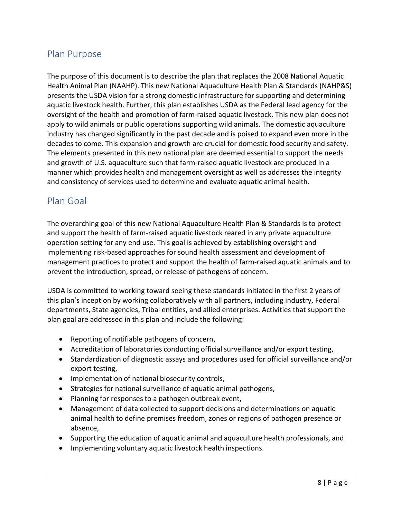# Plan Purpose

The purpose of this document is to describe the plan that replaces the 2008 National Aquatic Health Animal Plan (NAAHP). This new National Aquaculture Health Plan & Standards (NAHP&S) presents the USDA vision for a strong domestic infrastructure for supporting and determining aquatic livestock health. Further, this plan establishes USDA as the Federal lead agency for the oversight of the health and promotion of farm-raised aquatic livestock. This new plan does not apply to wild animals or public operations supporting wild animals. The domestic aquaculture industry has changed significantly in the past decade and is poised to expand even more in the decades to come. This expansion and growth are crucial for domestic food security and safety. The elements presented in this new national plan are deemed essential to support the needs and growth of U.S. aquaculture such that farm-raised aquatic livestock are produced in a manner which provides health and management oversight as well as addresses the integrity and consistency of services used to determine and evaluate aquatic animal health.

# Plan Goal

The overarching goal of this new National Aquaculture Health Plan & Standards is to protect and support the health of farm-raised aquatic livestock reared in any private aquaculture operation setting for any end use. This goal is achieved by establishing oversight and implementing risk-based approaches for sound health assessment and development of management practices to protect and support the health of farm-raised aquatic animals and to prevent the introduction, spread, or release of pathogens of concern.

USDA is committed to working toward seeing these standards initiated in the first 2 years of this plan's inception by working collaboratively with all partners, including industry, Federal departments, State agencies, Tribal entities, and allied enterprises. Activities that support the plan goal are addressed in this plan and include the following:

- Reporting of notifiable pathogens of concern,
- Accreditation of laboratories conducting official surveillance and/or export testing,
- Standardization of diagnostic assays and procedures used for official surveillance and/or export testing,
- Implementation of national biosecurity controls,
- Strategies for national surveillance of aquatic animal pathogens,
- Planning for responses to a pathogen outbreak event,
- Management of data collected to support decisions and determinations on aquatic animal health to define premises freedom, zones or regions of pathogen presence or absence,
- Supporting the education of aquatic animal and aquaculture health professionals, and
- Implementing voluntary aquatic livestock health inspections.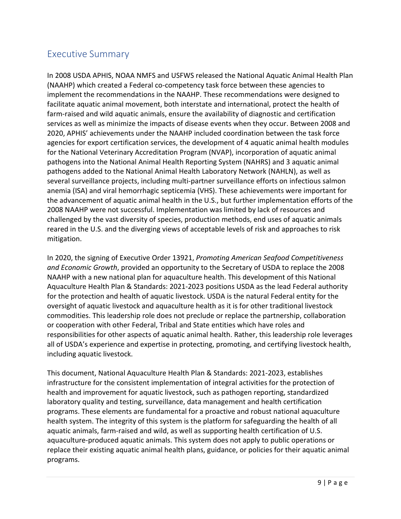# Executive Summary

In 2008 USDA APHIS, NOAA NMFS and USFWS released the National Aquatic Animal Health Plan (NAAHP) which created a Federal co-competency task force between these agencies to implement the recommendations in the NAAHP. These recommendations were designed to facilitate aquatic animal movement, both interstate and international, protect the health of farm-raised and wild aquatic animals, ensure the availability of diagnostic and certification services as well as minimize the impacts of disease events when they occur. Between 2008 and 2020, APHIS' achievements under the NAAHP included coordination between the task force agencies for export certification services, the development of 4 aquatic animal health modules for the National Veterinary Accreditation Program (NVAP), incorporation of aquatic animal pathogens into the National Animal Health Reporting System (NAHRS) and 3 aquatic animal pathogens added to the National Animal Health Laboratory Network (NAHLN), as well as several surveillance projects, including multi-partner surveillance efforts on infectious salmon anemia (ISA) and viral hemorrhagic septicemia (VHS). These achievements were important for the advancement of aquatic animal health in the U.S., but further implementation efforts of the 2008 NAAHP were not successful. Implementation was limited by lack of resources and challenged by the vast diversity of species, production methods, end uses of aquatic animals reared in the U.S. and the diverging views of acceptable levels of risk and approaches to risk mitigation.

In 2020, the signing of Executive Order 13921, *Promoting American Seafood Competitiveness and Economic Growth*, provided an opportunity to the Secretary of USDA to replace the 2008 NAAHP with a new national plan for aquaculture health. This development of this National Aquaculture Health Plan & Standards: 2021-2023 positions USDA as the lead Federal authority for the protection and health of aquatic livestock. USDA is the natural Federal entity for the oversight of aquatic livestock and aquaculture health as it is for other traditional livestock commodities. This leadership role does not preclude or replace the partnership, collaboration or cooperation with other Federal, Tribal and State entities which have roles and responsibilities for other aspects of aquatic animal health. Rather, this leadership role leverages all of USDA's experience and expertise in protecting, promoting, and certifying livestock health, including aquatic livestock.

This document, National Aquaculture Health Plan & Standards: 2021-2023, establishes infrastructure for the consistent implementation of integral activities for the protection of health and improvement for aquatic livestock, such as pathogen reporting, standardized laboratory quality and testing, surveillance, data management and health certification programs. These elements are fundamental for a proactive and robust national aquaculture health system. The integrity of this system is the platform for safeguarding the health of all aquatic animals, farm-raised and wild, as well as supporting health certification of U.S. aquaculture-produced aquatic animals. This system does not apply to public operations or replace their existing aquatic animal health plans, guidance, or policies for their aquatic animal programs.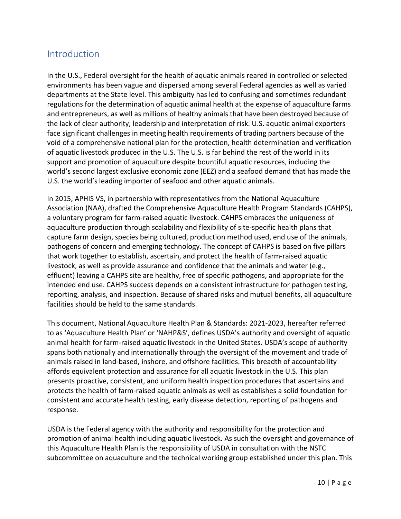# Introduction

In the U.S., Federal oversight for the health of aquatic animals reared in controlled or selected environments has been vague and dispersed among several Federal agencies as well as varied departments at the State level. This ambiguity has led to confusing and sometimes redundant regulations for the determination of aquatic animal health at the expense of aquaculture farms and entrepreneurs, as well as millions of healthy animals that have been destroyed because of the lack of clear authority, leadership and interpretation of risk. U.S. aquatic animal exporters face significant challenges in meeting health requirements of trading partners because of the void of a comprehensive national plan for the protection, health determination and verification of aquatic livestock produced in the U.S. The U.S. is far behind the rest of the world in its support and promotion of aquaculture despite bountiful aquatic resources, including the world's second largest exclusive economic zone (EEZ) and a seafood demand that has made the U.S. the world's leading importer of seafood and other aquatic animals.

In 2015, APHIS VS, in partnership with representatives from the National Aquaculture Association (NAA), drafted the Comprehensive Aquaculture Health Program Standards (CAHPS), a voluntary program for farm-raised aquatic livestock. CAHPS embraces the uniqueness of aquaculture production through scalability and flexibility of site-specific health plans that capture farm design, species being cultured, production method used, end use of the animals, pathogens of concern and emerging technology. The concept of CAHPS is based on five pillars that work together to establish, ascertain, and protect the health of farm-raised aquatic livestock, as well as provide assurance and confidence that the animals and water (e.g., effluent) leaving a CAHPS site are healthy, free of specific pathogens, and appropriate for the intended end use. CAHPS success depends on a consistent infrastructure for pathogen testing, reporting, analysis, and inspection. Because of shared risks and mutual benefits, all aquaculture facilities should be held to the same standards.

This document, National Aquaculture Health Plan & Standards: 2021-2023, hereafter referred to as 'Aquaculture Health Plan' or 'NAHP&S', defines USDA's authority and oversight of aquatic animal health for farm-raised aquatic livestock in the United States. USDA's scope of authority spans both nationally and internationally through the oversight of the movement and trade of animals raised in land-based, inshore, and offshore facilities. This breadth of accountability affords equivalent protection and assurance for all aquatic livestock in the U.S. This plan presents proactive, consistent, and uniform health inspection procedures that ascertains and protects the health of farm-raised aquatic animals as well as establishes a solid foundation for consistent and accurate health testing, early disease detection, reporting of pathogens and response.

USDA is the Federal agency with the authority and responsibility for the protection and promotion of animal health including aquatic livestock. As such the oversight and governance of this Aquaculture Health Plan is the responsibility of USDA in consultation with the NSTC subcommittee on aquaculture and the technical working group established under this plan. This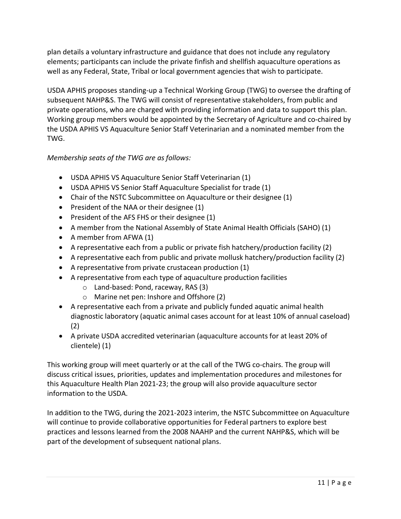plan details a voluntary infrastructure and guidance that does not include any regulatory elements; participants can include the private finfish and shellfish aquaculture operations as well as any Federal, State, Tribal or local government agencies that wish to participate.

USDA APHIS proposes standing-up a Technical Working Group (TWG) to oversee the drafting of subsequent NAHP&S. The TWG will consist of representative stakeholders, from public and private operations, who are charged with providing information and data to support this plan. Working group members would be appointed by the Secretary of Agriculture and co-chaired by the USDA APHIS VS Aquaculture Senior Staff Veterinarian and a nominated member from the TWG.

## *Membership seats of the TWG are as follows:*

- USDA APHIS VS Aquaculture Senior Staff Veterinarian (1)
- USDA APHIS VS Senior Staff Aquaculture Specialist for trade (1)
- Chair of the NSTC Subcommittee on Aquaculture or their designee (1)
- President of the NAA or their designee (1)
- President of the AFS FHS or their designee (1)
- A member from the National Assembly of State Animal Health Officials (SAHO) (1)
- A member from AFWA (1)
- A representative each from a public or private fish hatchery/production facility (2)
- A representative each from public and private mollusk hatchery/production facility (2)
- A representative from private crustacean production (1)
- A representative from each type of aquaculture production facilities
	- o Land-based: Pond, raceway, RAS (3)
	- o Marine net pen: Inshore and Offshore (2)
- A representative each from a private and publicly funded aquatic animal health diagnostic laboratory (aquatic animal cases account for at least 10% of annual caseload) (2)
- A private USDA accredited veterinarian (aquaculture accounts for at least 20% of clientele) (1)

This working group will meet quarterly or at the call of the TWG co-chairs. The group will discuss critical issues, priorities, updates and implementation procedures and milestones for this Aquaculture Health Plan 2021-23; the group will also provide aquaculture sector information to the USDA.

In addition to the TWG, during the 2021-2023 interim, the NSTC Subcommittee on Aquaculture will continue to provide collaborative opportunities for Federal partners to explore best practices and lessons learned from the 2008 NAAHP and the current NAHP&S, which will be part of the development of subsequent national plans.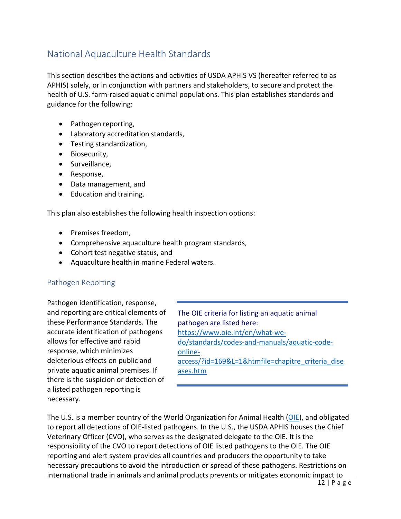# National Aquaculture Health Standards

This section describes the actions and activities of USDA APHIS VS (hereafter referred to as APHIS) solely, or in conjunction with partners and stakeholders, to secure and protect the health of U.S. farm-raised aquatic animal populations. This plan establishes standards and guidance for the following:

- Pathogen reporting,
- Laboratory accreditation standards,
- Testing standardization,
- Biosecurity,
- Surveillance,
- Response,
- Data management, and
- Education and training.

This plan also establishes the following health inspection options:

- Premises freedom,
- Comprehensive aquaculture health program standards,
- Cohort test negative status, and
- Aquaculture health in marine Federal waters.

#### Pathogen Reporting

Pathogen identification, response, and reporting are critical elements of these Performance Standards. The accurate identification of pathogens allows for effective and rapid response, which minimizes deleterious effects on public and private aquatic animal premises. If there is the suspicion or detection of a listed pathogen reporting is necessary.

The OIE criteria for listing an aquatic animal pathogen are listed here: [https://www.oie.int/en/what-we](https://www.oie.int/en/what-we-do/standards/codes-and-manuals/aquatic-code-online-access/?id=169&L=1&htmfile=chapitre_criteria_diseases.htm)[do/standards/codes-and-manuals/aquatic-code](https://www.oie.int/en/what-we-do/standards/codes-and-manuals/aquatic-code-online-access/?id=169&L=1&htmfile=chapitre_criteria_diseases.htm)[online](https://www.oie.int/en/what-we-do/standards/codes-and-manuals/aquatic-code-online-access/?id=169&L=1&htmfile=chapitre_criteria_diseases.htm)[access/?id=169&L=1&htmfile=chapitre\\_criteria\\_dise](https://www.oie.int/en/what-we-do/standards/codes-and-manuals/aquatic-code-online-access/?id=169&L=1&htmfile=chapitre_criteria_diseases.htm) [ases.htm](https://www.oie.int/en/what-we-do/standards/codes-and-manuals/aquatic-code-online-access/?id=169&L=1&htmfile=chapitre_criteria_diseases.htm)

The U.S. is a member country of the World Organization for Animal Health [\(OIE\)](https://www.oie.int/en/standard-setting/aquatic-manual/access-online/), and obligated to report all detections of OIE-listed pathogens. In the U.S., the USDA APHIS houses the Chief Veterinary Officer (CVO), who serves as the designated delegate to the OIE. It is the responsibility of the CVO to report detections of OIE listed pathogens to the OIE. The OIE reporting and alert system provides all countries and producers the opportunity to take necessary precautions to avoid the introduction or spread of these pathogens. Restrictions on international trade in animals and animal products prevents or mitigates economic impact to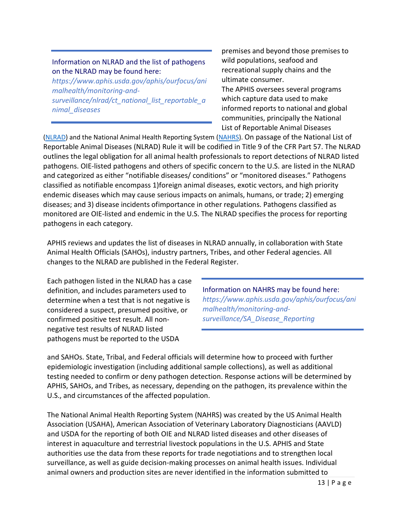## Information on NLRAD and the list of pathogens on the NLRAD may be found here:

*https:/[/www.aphis.usda.gov/aphis/ourfocus/ani](http://www.aphis.usda.gov/aphis/ourfocus/ani) malhealth/monitoring-andsurveillance/nlrad/ct\_national\_list\_reportable\_a nimal\_diseases*

premises and beyond those premises to wild populations, seafood and recreational supply chains and the ultimate consumer.

The APHIS oversees several programs which capture data used to make informed reports to national and global communities, principally the National List of Reportable Animal Diseases

[\(NLRAD\)](https://www.aphis.usda.gov/aphis/ourfocus/animalhealth/monitoring-and-surveillance/nlrad/ct_national_list_reportable_animal_diseases) and the National Animal Health Reporting System [\(NAHRS\)](https://www.aphis.usda.gov/aphis/ourfocus/animalhealth/monitoring-and-surveillance/SA_Disease_Reporting). On passage of the National List of Reportable Animal Diseases (NLRAD) Rule it will be codified in Title 9 of the CFR Part 57. The NLRAD outlines the legal obligation for all animal health professionals to report detections of NLRAD listed pathogens. OIE-listed pathogens and others of specific concern to the U.S. are listed in the NLRAD and categorized as either "notifiable diseases/ conditions" or "monitored diseases." Pathogens classified as notifiable encompass 1)foreign animal diseases, exotic vectors, and high priority endemic diseases which may cause serious impacts on animals, humans, or trade; 2) emerging diseases; and 3) disease incidents ofimportance in other regulations. Pathogens classified as monitored are OIE-listed and endemic in the U.S. The NLRAD specifies the process for reporting pathogens in each category.

APHIS reviews and updates the list of diseases in NLRAD annually, in collaboration with State Animal Health Officials (SAHOs), industry partners, Tribes, and other Federal agencies. All changes to the NLRAD are published in the Federal Register.

Each pathogen listed in the NLRAD has a case definition, and includes parameters used to determine when a test that is not negative is considered a suspect, presumed positive, or confirmed positive test result. All nonnegative test results of NLRAD listed pathogens must be reported to the USDA

Information on NAHRS may be found here: *https:/[/www.aphis.usda.gov/aphis/ourfocus/ani](http://www.aphis.usda.gov/aphis/ourfocus/ani) malhealth/monitoring-andsurveillance/SA\_Disease\_Reporting*

and SAHOs. State, Tribal, and Federal officials will determine how to proceed with further epidemiologic investigation (including additional sample collections), as well as additional testing needed to confirm or deny pathogen detection. Response actions will be determined by APHIS, SAHOs, and Tribes, as necessary, depending on the pathogen, its prevalence within the U.S., and circumstances of the affected population.

The National Animal Health Reporting System (NAHRS) was created by the US Animal Health Association (USAHA), American Association of Veterinary Laboratory Diagnosticians (AAVLD) and USDA for the reporting of both OIE and NLRAD listed diseases and other diseases of interest in aquaculture and terrestrial livestock populations in the U.S. APHIS and State authorities use the data from these reports for trade negotiations and to strengthen local surveillance, as well as guide decision-making processes on animal health issues. Individual animal owners and production sites are never identified in the information submitted to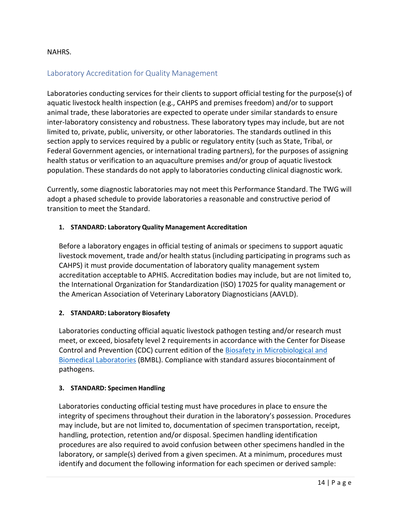#### NAHRS.

#### Laboratory Accreditation for Quality Management

Laboratories conducting services for their clients to support official testing for the purpose(s) of aquatic livestock health inspection (e.g., CAHPS and premises freedom) and/or to support animal trade, these laboratories are expected to operate under similar standards to ensure inter-laboratory consistency and robustness. These laboratory types may include, but are not limited to, private, public, university, or other laboratories. The standards outlined in this section apply to services required by a public or regulatory entity (such as State, Tribal, or Federal Government agencies, or international trading partners), for the purposes of assigning health status or verification to an aquaculture premises and/or group of aquatic livestock population. These standards do not apply to laboratories conducting clinical diagnostic work.

Currently, some diagnostic laboratories may not meet this Performance Standard. The TWG will adopt a phased schedule to provide laboratories a reasonable and constructive period of transition to meet the Standard.

#### **1. STANDARD: Laboratory Quality Management Accreditation**

Before a laboratory engages in official testing of animals or specimens to support aquatic livestock movement, trade and/or health status (including participating in programs such as CAHPS) it must provide documentation of laboratory quality management system accreditation acceptable to APHIS. Accreditation bodies may include, but are not limited to, the International Organization for Standardization (ISO) 17025 for quality management or the American Association of Veterinary Laboratory Diagnosticians (AAVLD).

#### **2. STANDARD: Laboratory Biosafety**

Laboratories conducting official aquatic livestock pathogen testing and/or research must meet, or exceed, biosafety level 2 requirements in accordance with the Center for Disease Control and Prevention (CDC) current edition of the [Biosafety in Microbiological and](https://www.cdc.gov/labs/BMBL.html) [Biomedical Laboratories](https://www.cdc.gov/labs/BMBL.html) (BMBL). Compliance with standard assures biocontainment of pathogens.

#### **3. STANDARD: Specimen Handling**

Laboratories conducting official testing must have procedures in place to ensure the integrity of specimens throughout their duration in the laboratory's possession. Procedures may include, but are not limited to, documentation of specimen transportation, receipt, handling, protection, retention and/or disposal. Specimen handling identification procedures are also required to avoid confusion between other specimens handled in the laboratory, or sample(s) derived from a given specimen. At a minimum, procedures must identify and document the following information for each specimen or derived sample: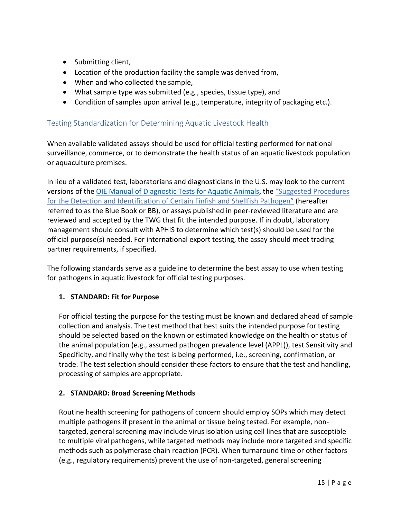- Submitting client,
- Location of the production facility the sample was derived from,
- When and who collected the sample,
- What sample type was submitted (e.g., species, tissue type), and
- Condition of samples upon arrival (e.g., temperature, integrity of packaging etc.).

## Testing Standardization for Determining Aquatic Livestock Health

When available validated assays should be used for official testing performed for national surveillance, commerce, or to demonstrate the health status of an aquatic livestock population or aquaculture premises.

In lieu of a validated test, laboratorians and diagnosticians in the U.S. may look to the current versions of th[e OIE Manual of Diagnostic Tests for Aquatic Animals, t](https://www.oie.int/en/standard-setting/aquatic-manual/access-online/)he ["Suggested P](https://units.fisheries.org/fhs/fish-health-section-blue-book-2016/)rocedures for the Detection and Identification of Certain Finfish and Shellfish Pathogen" (hereafter referred to as the Blue Book or BB), or assays published in peer-reviewed literature and are reviewed and accepted by the TWG that fit the intended purpose. If in doubt, laboratory management should consult with APHIS to determine which test(s) should be used for the official purpose(s) needed. For international export testing, the assay should meet trading partner requirements, if specified.

The following standards serve as a guideline to determine the best assay to use when testing for pathogens in aquatic livestock for official testing purposes.

## **1. STANDARD: Fit for Purpose**

For official testing the purpose for the testing must be known and declared ahead of sample collection and analysis. The test method that best suits the intended purpose for testing should be selected based on the known or estimated knowledge on the health or status of the animal population (e.g., assumed pathogen prevalence level (APPL)), test Sensitivity and Specificity, and finally why the test is being performed, i.e., screening, confirmation, or trade. The test selection should consider these factors to ensure that the test and handling, processing of samples are appropriate.

## **2. STANDARD: Broad Screening Methods**

Routine health screening for pathogens of concern should employ SOPs which may detect multiple pathogens if present in the animal or tissue being tested. For example, nontargeted, general screening may include virus isolation using cell lines that are susceptible to multiple viral pathogens, while targeted methods may include more targeted and specific methods such as polymerase chain reaction (PCR). When turnaround time or other factors (e.g., regulatory requirements) prevent the use of non-targeted, general screening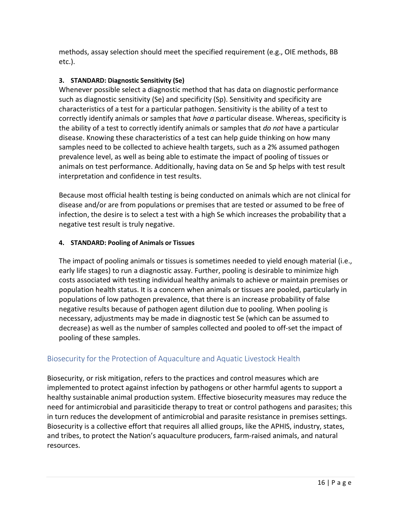methods, assay selection should meet the specified requirement (e.g., OIE methods, BB etc.).

## **3. STANDARD: Diagnostic Sensitivity (Se)**

Whenever possible select a diagnostic method that has data on diagnostic performance such as diagnostic sensitivity (Se) and specificity (Sp). Sensitivity and specificity are characteristics of a test for a particular pathogen. Sensitivity is the ability of a test to correctly identify animals or samples that *have a* particular disease. Whereas, specificity is the ability of a test to correctly identify animals or samples that *do not* have a particular disease. Knowing these characteristics of a test can help guide thinking on how many samples need to be collected to achieve health targets, such as a 2% assumed pathogen prevalence level, as well as being able to estimate the impact of pooling of tissues or animals on test performance. Additionally, having data on Se and Sp helps with test result interpretation and confidence in test results.

Because most official health testing is being conducted on animals which are not clinical for disease and/or are from populations or premises that are tested or assumed to be free of infection, the desire is to select a test with a high Se which increases the probability that a negative test result is truly negative.

#### **4. STANDARD: Pooling of Animals or Tissues**

The impact of pooling animals or tissues is sometimes needed to yield enough material (i.e., early life stages) to run a diagnostic assay. Further, pooling is desirable to minimize high costs associated with testing individual healthy animals to achieve or maintain premises or population health status. It is a concern when animals or tissues are pooled, particularly in populations of low pathogen prevalence, that there is an increase probability of false negative results because of pathogen agent dilution due to pooling. When pooling is necessary, adjustments may be made in diagnostic test Se (which can be assumed to decrease) as well as the number of samples collected and pooled to off-set the impact of pooling of these samples.

# Biosecurity for the Protection of Aquaculture and Aquatic Livestock Health

Biosecurity, or risk mitigation, refers to the practices and control measures which are implemented to protect against infection by pathogens or other harmful agents to support a healthy sustainable animal production system. Effective biosecurity measures may reduce the need for antimicrobial and parasiticide therapy to treat or control pathogens and parasites; this in turn reduces the development of antimicrobial and parasite resistance in premises settings. Biosecurity is a collective effort that requires all allied groups, like the APHIS, industry, states, and tribes, to protect the Nation's aquaculture producers, farm-raised animals, and natural resources.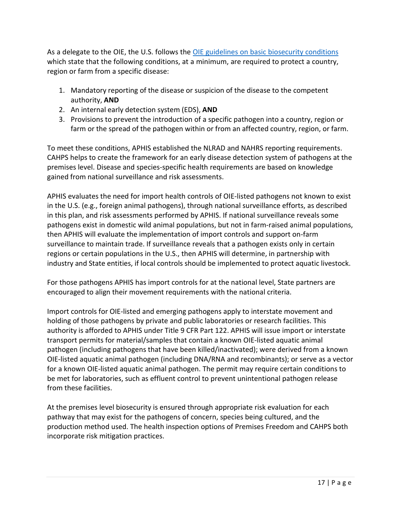As a delegate to the OIE, the U.S. follows the [OIE guidelines on basic biosecurity conditions](https://www.oie.int/index.php?id=171&L=0&htmfile=glossaire.htm) which state that the following conditions, at a minimum, are required to protect a country, region or farm from a specific disease:

- 1. Mandatory reporting of the disease or suspicion of the disease to the competent authority, **AND**
- 2. An internal early detection system (EDS), **AND**
- 3. Provisions to prevent the introduction of a specific pathogen into a country, region or farm or the spread of the pathogen within or from an affected country, region, or farm.

To meet these conditions, APHIS established the NLRAD and NAHRS reporting requirements. CAHPS helps to create the framework for an early disease detection system of pathogens at the premises level. Disease and species-specific health requirements are based on knowledge gained from national surveillance and risk assessments.

APHIS evaluates the need for import health controls of OIE-listed pathogens not known to exist in the U.S. (e.g., foreign animal pathogens), through national surveillance efforts, as described in this plan, and risk assessments performed by APHIS. If national surveillance reveals some pathogens exist in domestic wild animal populations, but not in farm-raised animal populations, then APHIS will evaluate the implementation of import controls and support on-farm surveillance to maintain trade. If surveillance reveals that a pathogen exists only in certain regions or certain populations in the U.S., then APHIS will determine, in partnership with industry and State entities, if local controls should be implemented to protect aquatic livestock.

For those pathogens APHIS has import controls for at the national level, State partners are encouraged to align their movement requirements with the national criteria.

Import controls for OIE-listed and emerging pathogens apply to interstate movement and holding of those pathogens by private and public laboratories or research facilities. This authority is afforded to APHIS under Title 9 CFR Part 122. APHIS will issue import or interstate transport permits for material/samples that contain a known OIE-listed aquatic animal pathogen (including pathogens that have been killed/inactivated); were derived from a known OIE-listed aquatic animal pathogen (including DNA/RNA and recombinants); or serve as a vector for a known OIE-listed aquatic animal pathogen. The permit may require certain conditions to be met for laboratories, such as effluent control to prevent unintentional pathogen release from these facilities.

At the premises level biosecurity is ensured through appropriate risk evaluation for each pathway that may exist for the pathogens of concern, species being cultured, and the production method used. The health inspection options of Premises Freedom and CAHPS both incorporate risk mitigation practices.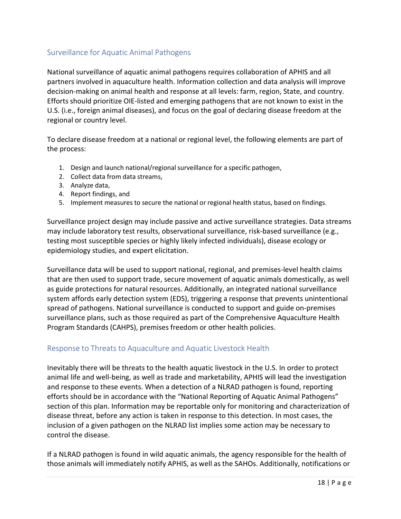## Surveillance for Aquatic Animal Pathogens

National surveillance of aquatic animal pathogens requires collaboration of APHIS and all partners involved in aquaculture health. Information collection and data analysis will improve decision-making on animal health and response at all levels: farm, region, State, and country. Efforts should prioritize OIE-listed and emerging pathogens that are not known to exist in the U.S. (i.e., foreign animal diseases), and focus on the goal of declaring disease freedom at the regional or country level.

To declare disease freedom at a national or regional level, the following elements are part of the process:

- 1. Design and launch national/regional surveillance for a specific pathogen,
- 2. Collect data from data streams,
- 3. Analyze data,
- 4. Report findings, and
- 5. Implement measures to secure the national or regional health status, based on findings.

Surveillance project design may include passive and active surveillance strategies. Data streams may include laboratory test results, observational surveillance, risk-based surveillance (e.g., testing most susceptible species or highly likely infected individuals), disease ecology or epidemiology studies, and expert elicitation.

Surveillance data will be used to support national, regional, and premises-level health claims that are then used to support trade, secure movement of aquatic animals domestically, as well as guide protections for natural resources. Additionally, an integrated national surveillance system affords early detection system (EDS), triggering a response that prevents unintentional spread of pathogens. National surveillance is conducted to support and guide on-premises surveillance plans, such as those required as part of the Comprehensive Aquaculture Health Program Standards (CAHPS), premises freedom or other health policies.

## Response to Threats to Aquaculture and Aquatic Livestock Health

Inevitably there will be threats to the health aquatic livestock in the U.S. In order to protect animal life and well-being, as well as trade and marketability, APHIS will lead the investigation and response to these events. When a detection of a NLRAD pathogen is found, reporting efforts should be in accordance with the "National Reporting of Aquatic Animal Pathogens" section of this plan. Information may be reportable only for monitoring and characterization of disease threat, before any action is taken in response to this detection. In most cases, the inclusion of a given pathogen on the NLRAD list implies some action may be necessary to control the disease.

If a NLRAD pathogen is found in wild aquatic animals, the agency responsible for the health of those animals will immediately notify APHIS, as well as the SAHOs. Additionally, notifications or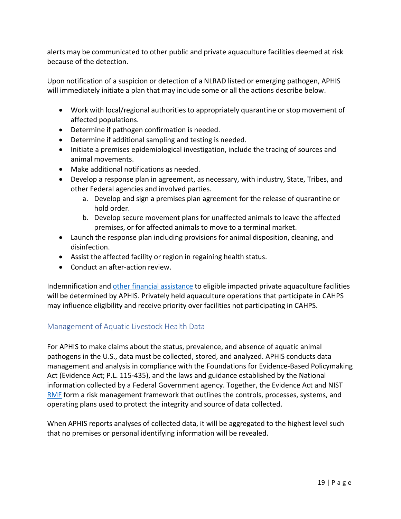alerts may be communicated to other public and private aquaculture facilities deemed at risk because of the detection.

Upon notification of a suspicion or detection of a NLRAD listed or emerging pathogen, APHIS will immediately initiate a plan that may include some or all the actions describe below.

- Work with local/regional authorities to appropriately quarantine or stop movement of affected populations.
- Determine if pathogen confirmation is needed.
- Determine if additional sampling and testing is needed.
- Initiate a premises epidemiological investigation, include the tracing of sources and animal movements.
- Make additional notifications as needed.
- Develop a response plan in agreement, as necessary, with industry, State, Tribes, and other Federal agencies and involved parties.
	- a. Develop and sign a premises plan agreement for the release of quarantine or hold order.
	- b. Develop secure movement plans for unaffected animals to leave the affected premises, or for affected animals to move to a terminal market.
- Launch the response plan including provisions for animal disposition, cleaning, and disinfection.
- Assist the affected facility or region in regaining health status.
- Conduct an after-action review.

Indemnification and other financial [assistance](https://www.fsa.usda.gov/programs-and-services/disaster-assistance-program/emergency-assist-for-livestock-honey-bees-fish/index) to eligible impacted private aquaculture facilities will be determined by APHIS. Privately held aquaculture operations that participate in CAHPS may influence eligibility and receive priority over facilities not participating in CAHPS.

# Management of Aquatic Livestock Health Data

For APHIS to make claims about the status, prevalence, and absence of aquatic animal pathogens in the U.S., data must be collected, stored, and analyzed. APHIS conducts data management and analysis in compliance with the Foundations for Evidence-Based Policymaking Act (Evidence Act; P.L. 115-435), and the laws and guidance established by the National information collected by a Federal Government agency. Together, the Evidence Act and NIST [RMF](https://gcc02.safelinks.protection.outlook.com/?url=https%3A%2F%2Fwww.nist.gov%2Fcyberframework%2Frisk-management-framework&data=02%7C01%7C%7C05904f521ae84d808e5a08d849cc693e%7Ced5b36e701ee4ebc867ee03cfa0d4697%7C0%7C0%7C637340489569996625&sdata=9FdDCCH47b3UnboLemf%2B0%2FII7kEAnDsu1fwOnSonIn8%3D&reserved=0) form a risk management framework that outlines the controls, processes, systems, and operating plans used to protect the integrity and source of data collected.

When APHIS reports analyses of collected data, it will be aggregated to the highest level such that no premises or personal identifying information will be revealed.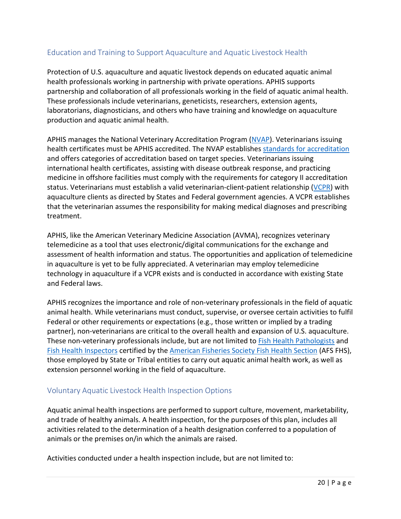# Education and Training to Support Aquaculture and Aquatic Livestock Health

Protection of U.S. aquaculture and aquatic livestock depends on educated aquatic animal health professionals working in partnership with private operations. APHIS supports partnership and collaboration of all professionals working in the field of aquatic animal health. These professionals include veterinarians, geneticists, researchers, extension agents, laboratorians, diagnosticians, and others who have training and knowledge on aquaculture production and aquatic animal health.

APHIS manages the National Veterinary Accreditation Program [\(NVAP\)](https://www.aphis.usda.gov/aphis/ourfocus/animalhealth/nvap/NVAP-Reference-Guide/Table-of-Contents). Veterinarians issuing health certificates must be APHIS accredited. The NVAP establishe[s standards for accreditation](https://www.aphis.usda.gov/aphis/ourfocus/animalhealth/nvap/NVAP-Reference-Guide/Appendix/9-CFR-PARTS-160-161-and-162) and offers categories of accreditation based on target species. Veterinarians issuing international health certificates, assisting with disease outbreak response, and practicing medicine in offshore facilities must comply with the requirements for category II accreditation status. Veterinarians must establish a valid veterinarian-client-patient relationship [\(VCPR\)](https://www.avma.org/resources-tools/pet-owners/petcare/veterinarian-client-patient-relationship-vcpr) with aquaculture clients as directed by States and Federal government agencies. A VCPR establishes that the veterinarian assumes the responsibility for making medical diagnoses and prescribing treatment.

APHIS, like the American Veterinary Medicine Association (AVMA), recognizes veterinary telemedicine as a tool that uses electronic/digital communications for the exchange and assessment of health information and status. The opportunities and application of telemedicine in aquaculture is yet to be fully appreciated. A veterinarian may employ telemedicine technology in aquaculture if a VCPR exists and is conducted in accordance with existing State and Federal laws.

APHIS recognizes the importance and role of non-veterinary professionals in the field of aquatic animal health. While veterinarians must conduct, supervise, or oversee certain activities to fulfil Federal or other requirements or expectations (e.g., those written or implied by a trading partner), non-veterinarians are critical to the overall health and expansion of U.S. aquaculture. These non-veterinary professionals include, but are not limited to [Fish Health Pathologists](https://units.fisheries.org/fhs/certification/certified-fish-pathologist/) and [Fish Health Inspectors](https://units.fisheries.org/fhs/certification/aquatic-animal-health-inspector/) certified by the [American Fisheries Society Fish Health Section](https://units.fisheries.org/fhs/) (AFS FHS), those employed by State or Tribal entities to carry out aquatic animal health work, as well as extension personnel working in the field of aquaculture.

## Voluntary Aquatic Livestock Health Inspection Options

Aquatic animal health inspections are performed to support culture, movement, marketability, and trade of healthy animals. A health inspection, for the purposes of this plan, includes all activities related to the determination of a health designation conferred to a population of animals or the premises on/in which the animals are raised.

Activities conducted under a health inspection include, but are not limited to: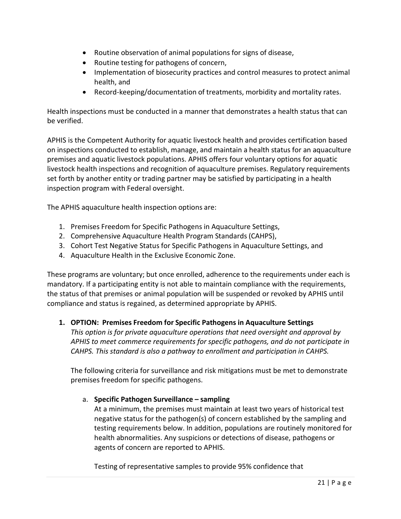- Routine observation of animal populations for signs of disease,
- Routine testing for pathogens of concern,
- Implementation of biosecurity practices and control measures to protect animal health, and
- Record-keeping/documentation of treatments, morbidity and mortality rates.

Health inspections must be conducted in a manner that demonstrates a health status that can be verified.

APHIS is the Competent Authority for aquatic livestock health and provides certification based on inspections conducted to establish, manage, and maintain a health status for an aquaculture premises and aquatic livestock populations. APHIS offers four voluntary options for aquatic livestock health inspections and recognition of aquaculture premises. Regulatory requirements set forth by another entity or trading partner may be satisfied by participating in a health inspection program with Federal oversight.

The APHIS aquaculture health inspection options are:

- 1. Premises Freedom for Specific Pathogens in Aquaculture Settings,
- 2. Comprehensive Aquaculture Health Program Standards (CAHPS),
- 3. Cohort Test Negative Status for Specific Pathogens in Aquaculture Settings, and
- 4. Aquaculture Health in the Exclusive Economic Zone.

These programs are voluntary; but once enrolled, adherence to the requirements under each is mandatory. If a participating entity is not able to maintain compliance with the requirements, the status of that premises or animal population will be suspended or revoked by APHIS until compliance and status is regained, as determined appropriate by APHIS.

#### **1. OPTION: Premises Freedom for Specific Pathogens in Aquaculture Settings**

*This option is for private aquaculture operations that need oversight and approval by APHIS to meet commerce requirements for specific pathogens, and do not participate in CAHPS. This standard is also a pathway to enrollment and participation in CAHPS.*

The following criteria for surveillance and risk mitigations must be met to demonstrate premises freedom for specific pathogens.

#### a. **Specific Pathogen Surveillance – sampling**

At a minimum, the premises must maintain at least two years of historical test negative status for the pathogen(s) of concern established by the sampling and testing requirements below. In addition, populations are routinely monitored for health abnormalities. Any suspicions or detections of disease, pathogens or agents of concern are reported to APHIS.

Testing of representative samples to provide 95% confidence that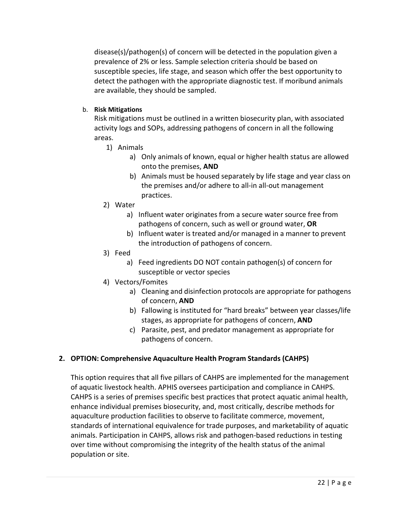disease(s)/pathogen(s) of concern will be detected in the population given a prevalence of 2% or less. Sample selection criteria should be based on susceptible species, life stage, and season which offer the best opportunity to detect the pathogen with the appropriate diagnostic test. If moribund animals are available, they should be sampled.

#### b. **Risk Mitigations**

Risk mitigations must be outlined in a written biosecurity plan, with associated activity logs and SOPs, addressing pathogens of concern in all the following areas.

- 1) Animals
	- a) Only animals of known, equal or higher health status are allowed onto the premises, **AND**
	- b) Animals must be housed separately by life stage and year class on the premises and/or adhere to all-in all-out management practices.
- 2) Water
	- a) Influent water originates from a secure water source free from pathogens of concern, such as well or ground water, **OR**
	- b) Influent water is treated and/or managed in a manner to prevent the introduction of pathogens of concern.
- 3) Feed
	- a) Feed ingredients DO NOT contain pathogen(s) of concern for susceptible or vector species
- 4) Vectors/Fomites
	- a) Cleaning and disinfection protocols are appropriate for pathogens of concern, **AND**
	- b) Fallowing is instituted for "hard breaks" between year classes/life stages, as appropriate for pathogens of concern, **AND**
	- c) Parasite, pest, and predator management as appropriate for pathogens of concern.

## **2. OPTION: Comprehensive Aquaculture Health Program Standards (CAHPS)**

This option requires that all five pillars of CAHPS are implemented for the management of aquatic livestock health. APHIS oversees participation and compliance in CAHPS. CAHPS is a series of premises specific best practices that protect aquatic animal health, enhance individual premises biosecurity, and, most critically, describe methods for aquaculture production facilities to observe to facilitate commerce, movement, standards of international equivalence for trade purposes, and marketability of aquatic animals. Participation in CAHPS, allows risk and pathogen-based reductions in testing over time without compromising the integrity of the health status of the animal population or site.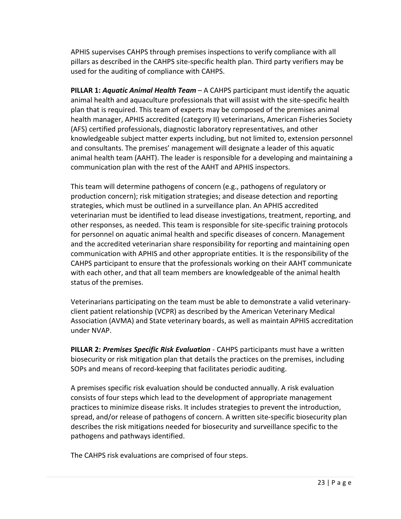APHIS supervises CAHPS through premises inspections to verify compliance with all pillars as described in the CAHPS site-specific health plan. Third party verifiers may be used for the auditing of compliance with CAHPS.

**PILLAR 1:** *Aquatic Animal Health Team* – A CAHPS participant must identify the aquatic animal health and aquaculture professionals that will assist with the site-specific health plan that is required. This team of experts may be composed of the premises animal health manager, APHIS accredited (category II) veterinarians, American Fisheries Society (AFS) certified professionals, diagnostic laboratory representatives, and other knowledgeable subject matter experts including, but not limited to, extension personnel and consultants. The premises' management will designate a leader of this aquatic animal health team (AAHT). The leader is responsible for a developing and maintaining a communication plan with the rest of the AAHT and APHIS inspectors.

This team will determine pathogens of concern (e.g., pathogens of regulatory or production concern); risk mitigation strategies; and disease detection and reporting strategies, which must be outlined in a surveillance plan. An APHIS accredited veterinarian must be identified to lead disease investigations, treatment, reporting, and other responses, as needed. This team is responsible for site-specific training protocols for personnel on aquatic animal health and specific diseases of concern. Management and the accredited veterinarian share responsibility for reporting and maintaining open communication with APHIS and other appropriate entities. It is the responsibility of the CAHPS participant to ensure that the professionals working on their AAHT communicate with each other, and that all team members are knowledgeable of the animal health status of the premises.

Veterinarians participating on the team must be able to demonstrate a valid veterinaryclient patient relationship (VCPR) as described by the American Veterinary Medical Association (AVMA) and State veterinary boards, as well as maintain APHIS accreditation under NVAP.

**PILLAR 2:** *Premises Specific Risk Evaluation* - CAHPS participants must have a written biosecurity or risk mitigation plan that details the practices on the premises, including SOPs and means of record-keeping that facilitates periodic auditing.

A premises specific risk evaluation should be conducted annually. A risk evaluation consists of four steps which lead to the development of appropriate management practices to minimize disease risks. It includes strategies to prevent the introduction, spread, and/or release of pathogens of concern. A written site-specific biosecurity plan describes the risk mitigations needed for biosecurity and surveillance specific to the pathogens and pathways identified.

The CAHPS risk evaluations are comprised of four steps.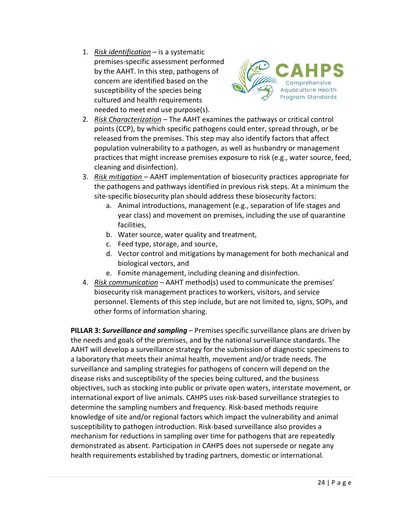1. *Risk identification* – is a systematic premises-specific assessment performed by the AAHT. In this step, pathogens of concern are identified based on the susceptibility of the species being cultured and health requirements needed to meet end use purpose(s).



- 2. *Risk Characterization* The AAHT examines the pathways or critical control points (CCP), by which specific pathogens could enter, spread through, or be released from the premises. This step may also identify factors that affect population vulnerability to a pathogen, as well as husbandry or management practices that might increase premises exposure to risk (e.g., water source, feed, cleaning and disinfection).
- 3. *Risk mitigation*  AAHT implementation of biosecurity practices appropriate for the pathogens and pathways identified in previous risk steps. At a minimum the site-specific biosecurity plan should address these biosecurity factors:
	- a. Animal introductions, management (e.g., separation of life stages and year class) and movement on premises, including the use of quarantine facilities,
	- b. Water source, water quality and treatment,
	- c. Feed type, storage, and source,
	- d. Vector control and mitigations by management for both mechanical and biological vectors, and
	- e. Fomite management, including cleaning and disinfection.
- 4. *Risk communication* AAHT method(s) used to communicate the premises' biosecurity risk management practices to workers, visitors, and service personnel. Elements of this step include, but are not limited to, signs, SOPs, and other forms of information sharing.

**PILLAR 3:** *Surveillance and sampling* – Premises specific surveillance plans are driven by the needs and goals of the premises, and by the national surveillance standards. The AAHT will develop a surveillance strategy for the submission of diagnostic specimens to a laboratory that meets their animal health, movement and/or trade needs. The surveillance and sampling strategies for pathogens of concern will depend on the disease risks and susceptibility of the species being cultured, and the business objectives, such as stocking into public or private open waters, interstate movement, or international export of live animals. CAHPS uses risk-based surveillance strategies to determine the sampling numbers and frequency. Risk-based methods require knowledge of site and/or regional factors which impact the vulnerability and animal susceptibility to pathogen introduction. Risk-based surveillance also provides a mechanism for reductions in sampling over time for pathogens that are repeatedly demonstrated as absent. Participation in CAHPS does not supersede or negate any health requirements established by trading partners, domestic or international.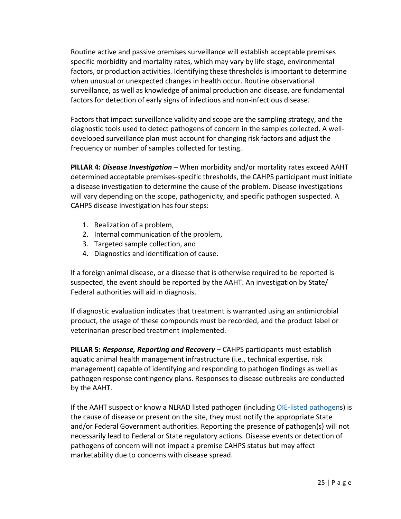Routine active and passive premises surveillance will establish acceptable premises specific morbidity and mortality rates, which may vary by life stage, environmental factors, or production activities. Identifying these thresholds is important to determine when unusual or unexpected changes in health occur. Routine observational surveillance, as well as knowledge of animal production and disease, are fundamental factors for detection of early signs of infectious and non-infectious disease.

Factors that impact surveillance validity and scope are the sampling strategy, and the diagnostic tools used to detect pathogens of concern in the samples collected. A welldeveloped surveillance plan must account for changing risk factors and adjust the frequency or number of samples collected for testing.

**PILLAR 4:** *Disease Investigation* – When morbidity and/or mortality rates exceed AAHT determined acceptable premises-specific thresholds, the CAHPS participant must initiate a disease investigation to determine the cause of the problem. Disease investigations will vary depending on the scope, pathogenicity, and specific pathogen suspected. A CAHPS disease investigation has four steps:

- 1. Realization of a problem,
- 2. Internal communication of the problem,
- 3. Targeted sample collection, and
- 4. Diagnostics and identification of cause.

If a foreign animal disease, or a disease that is otherwise required to be reported is suspected, the event should be reported by the AAHT. An investigation by State/ Federal authorities will aid in diagnosis.

If diagnostic evaluation indicates that treatment is warranted using an antimicrobial product, the usage of these compounds must be recorded, and the product label or veterinarian prescribed treatment implemented.

**PILLAR 5:** *Response, Reporting and Recovery* – CAHPS participants must establish aquatic animal health management infrastructure (i.e., technical expertise, risk management) capable of identifying and responding to pathogen findings as well as pathogen response contingency plans. Responses to disease outbreaks are conducted by the AAHT.

If the AAHT suspect or know a NLRAD listed pathogen (includin[g OIE-listed pathogens](http://www.oie.int/animal-health-in-the-world/oie-listed-diseases-2015/)) is the cause of disease or present on the site, they must notify the appropriate State and/or Federal Government authorities. Reporting the presence of pathogen(s) will not necessarily lead to Federal or State regulatory actions. Disease events or detection of pathogens of concern will not impact a premise CAHPS status but may affect marketability due to concerns with disease spread.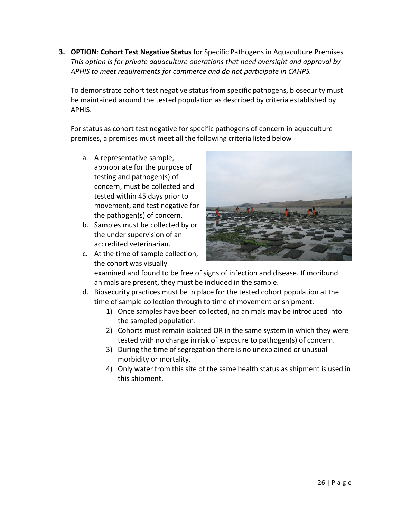**3. OPTION**: **Cohort Test Negative Status** for Specific Pathogens in Aquaculture Premises *This option is for private aquaculture operations that need oversight and approval by APHIS to meet requirements for commerce and do not participate in CAHPS.*

To demonstrate cohort test negative status from specific pathogens, biosecurity must be maintained around the tested population as described by criteria established by APHIS.

For status as cohort test negative for specific pathogens of concern in aquaculture premises, a premises must meet all the following criteria listed below

- a. A representative sample, appropriate for the purpose of testing and pathogen(s) of concern, must be collected and tested within 45 days prior to movement, and test negative for the pathogen(s) of concern.
- b. Samples must be collected by or the under supervision of an accredited veterinarian.
- c. At the time of sample collection, the cohort was visually



examined and found to be free of signs of infection and disease. If moribund animals are present, they must be included in the sample.

- d. Biosecurity practices must be in place for the tested cohort population at the time of sample collection through to time of movement or shipment.
	- 1) Once samples have been collected, no animals may be introduced into the sampled population.
	- 2) Cohorts must remain isolated OR in the same system in which they were tested with no change in risk of exposure to pathogen(s) of concern.
	- 3) During the time of segregation there is no unexplained or unusual morbidity or mortality.
	- 4) Only water from this site of the same health status as shipment is used in this shipment.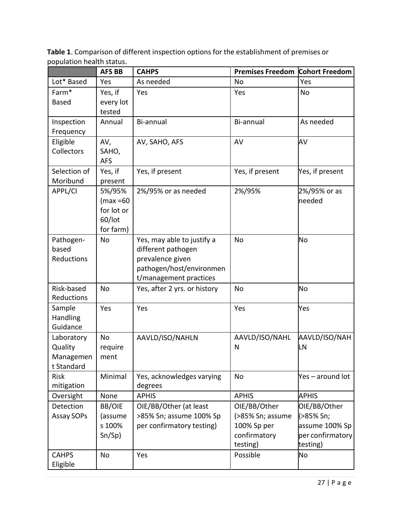|                          | <b>AFS BB</b> | <b>CAHPS</b>                                 | <b>Premises Freedom Cohort Freedom</b> |                     |
|--------------------------|---------------|----------------------------------------------|----------------------------------------|---------------------|
| Lot* Based               | Yes           | As needed                                    | <b>No</b>                              | Yes                 |
| Farm <sup>*</sup>        | Yes, if       | Yes                                          | Yes                                    | No                  |
| <b>Based</b>             | every lot     |                                              |                                        |                     |
|                          | tested        |                                              |                                        |                     |
| Inspection               | Annual        | Bi-annual                                    | Bi-annual                              | As needed           |
| Frequency                |               |                                              |                                        | AV                  |
| Eligible<br>Collectors   | AV,<br>SAHO,  | AV, SAHO, AFS                                | AV                                     |                     |
|                          | <b>AFS</b>    |                                              |                                        |                     |
| Selection of             | Yes, if       | Yes, if present                              | Yes, if present                        | Yes, if present     |
| Moribund                 | present       |                                              |                                        |                     |
| APPL/CI                  | 5%/95%        | 2%/95% or as needed                          | 2%/95%                                 | 2%/95% or as        |
|                          | $(max = 60$   |                                              |                                        | needed              |
|                          | for lot or    |                                              |                                        |                     |
|                          | 60/lot        |                                              |                                        |                     |
|                          | for farm)     |                                              |                                        |                     |
| Pathogen-                | No            | Yes, may able to justify a                   | <b>No</b>                              | No                  |
| based                    |               | different pathogen                           |                                        |                     |
| Reductions               |               | prevalence given<br>pathogen/host/environmen |                                        |                     |
|                          |               | t/management practices                       |                                        |                     |
| Risk-based               | No            | Yes, after 2 yrs. or history                 | <b>No</b>                              | No                  |
| Reductions               |               |                                              |                                        |                     |
| Sample                   | Yes           | Yes                                          | Yes                                    | Yes                 |
| Handling                 |               |                                              |                                        |                     |
| Guidance                 |               |                                              |                                        |                     |
| Laboratory<br>Quality    | No<br>require | AAVLD/ISO/NAHLN                              | AAVLD/ISO/NAHL<br>N                    | AAVLD/ISO/NAH<br>LN |
| Managemen                | ment          |                                              |                                        |                     |
| t Standard               |               |                                              |                                        |                     |
| <b>Risk</b>              | Minimal       | Yes, acknowledges varying                    | <b>No</b>                              | Yes-around lot      |
| mitigation               |               | degrees                                      |                                        |                     |
| Oversight                | None          | <b>APHIS</b>                                 | <b>APHIS</b>                           | <b>APHIS</b>        |
| Detection                | <b>BB/OIE</b> | OIE/BB/Other (at least                       | OIE/BB/Other                           | OIE/BB/Other        |
| Assay SOPs               | (assume       | >85% Sn; assume 100% Sp                      | (>85% Sn; assume                       | (>85% Sn;           |
|                          | s 100%        | per confirmatory testing)                    | 100% Sp per                            | assume 100% Sp      |
|                          | Sn/Sp)        |                                              | confirmatory                           | per confirmatory    |
|                          |               |                                              | testing)                               | testing)            |
| <b>CAHPS</b><br>Eligible | No            | Yes                                          | Possible                               | No                  |

**Table 1**. Comparison of different inspection options for the establishment of premises or population health status.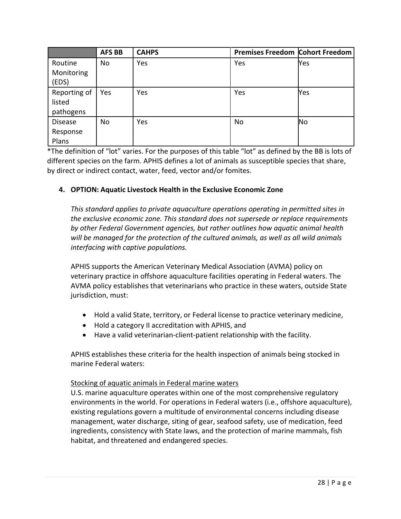|                                     | <b>AFS BB</b> | <b>CAHPS</b> | <b>Premises Freedom Cohort Freedom</b> |           |
|-------------------------------------|---------------|--------------|----------------------------------------|-----------|
| Routine<br>Monitoring<br>(EDS)      | No            | Yes          | Yes                                    | Yes       |
| Reporting of<br>listed<br>pathogens | Yes           | Yes          | Yes                                    | Yes       |
| <b>Disease</b><br>Response<br>Plans | No            | Yes          | <b>No</b>                              | <b>No</b> |

\*The definition of "lot" varies. For the purposes of this table "lot" as defined by the BB is lots of different species on the farm. APHIS defines a lot of animals as susceptible species that share, by direct or indirect contact, water, feed, vector and/or fomites.

## **4. OPTION: Aquatic Livestock Health in the Exclusive Economic Zone**

*This standard applies to private aquaculture operations operating in permitted sites in the exclusive economic zone. This standard does not supersede or replace requirements by other Federal Government agencies, but rather outlines how aquatic animal health will be managed for the protection of the cultured animals, as well as all wild animals interfacing with captive populations.*

APHIS supports the American Veterinary Medical Association (AVMA) policy on veterinary practice in offshore aquaculture facilities operating in Federal waters. The AVMA policy establishes that veterinarians who practice in these waters, outside State jurisdiction, must:

- Hold a valid State, territory, or Federal license to practice veterinary medicine,
- Hold a category II accreditation with APHIS, and
- Have a valid veterinarian-client-patient relationship with the facility.

APHIS establishes these criteria for the health inspection of animals being stocked in marine Federal waters:

#### Stocking of aquatic animals in Federal marine waters

U.S. marine aquaculture operates within one of the most comprehensive regulatory environments in the world. For operations in Federal waters (i.e., offshore aquaculture), existing regulations govern a multitude of environmental concerns including disease management, water discharge, siting of gear, seafood safety, use of medication, feed ingredients, consistency with State laws, and the protection of marine mammals, fish habitat, and threatened and endangered species.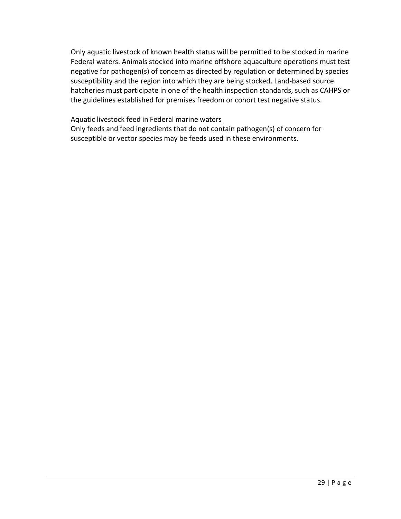Only aquatic livestock of known health status will be permitted to be stocked in marine Federal waters. Animals stocked into marine offshore aquaculture operations must test negative for pathogen(s) of concern as directed by regulation or determined by species susceptibility and the region into which they are being stocked. Land-based source hatcheries must participate in one of the health inspection standards, such as CAHPS or the guidelines established for premises freedom or cohort test negative status.

#### Aquatic livestock feed in Federal marine waters

Only feeds and feed ingredients that do not contain pathogen(s) of concern for susceptible or vector species may be feeds used in these environments.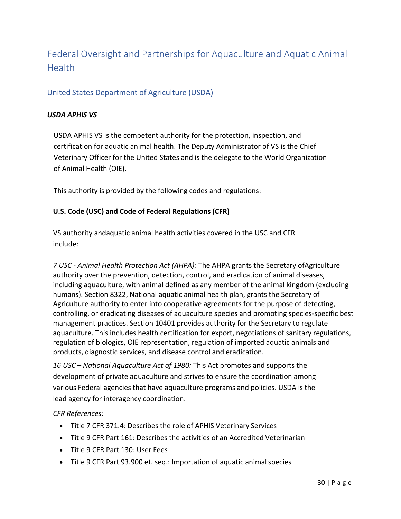# Federal Oversight and Partnerships for Aquaculture and Aquatic Animal Health

## United States Department of Agriculture (USDA)

#### *USDA APHIS VS*

USDA APHIS VS is the competent authority for the protection, inspection, and certification for aquatic animal health. The Deputy Administrator of VS is the Chief Veterinary Officer for the United States and is the delegate to the World Organization of Animal Health (OIE).

This authority is provided by the following codes and regulations:

#### **U.S. Code (USC) and Code of Federal Regulations (CFR)**

VS authority andaquatic animal health activities covered in the USC and CFR include:

*7 USC - Animal Health Protection Act (AHPA):* The AHPA grants the Secretary ofAgriculture authority over the prevention, detection, control, and eradication of animal diseases, including aquaculture, with animal defined as any member of the animal kingdom (excluding humans). Section 8322, National aquatic animal health plan, grants the Secretary of Agriculture authority to enter into cooperative agreements for the purpose of detecting, controlling, or eradicating diseases of aquaculture species and promoting species-specific best management practices. Section 10401 provides authority for the Secretary to regulate aquaculture. This includes health certification for export, negotiations of sanitary regulations, regulation of biologics, OIE representation, regulation of imported aquatic animals and products, diagnostic services, and disease control and eradication.

*16 USC – National Aquaculture Act of 1980:* This Act promotes and supports the development of private aquaculture and strives to ensure the coordination among various Federal agencies that have aquaculture programs and policies. USDA is the lead agency for interagency coordination.

#### *CFR References:*

- Title 7 CFR 371.4: Describes the role of APHIS Veterinary Services
- Title 9 CFR Part 161: Describes the activities of an Accredited Veterinarian
- Title 9 CFR Part 130: User Fees
- Title 9 CFR Part 93.900 et. seg.: Importation of aquatic animal species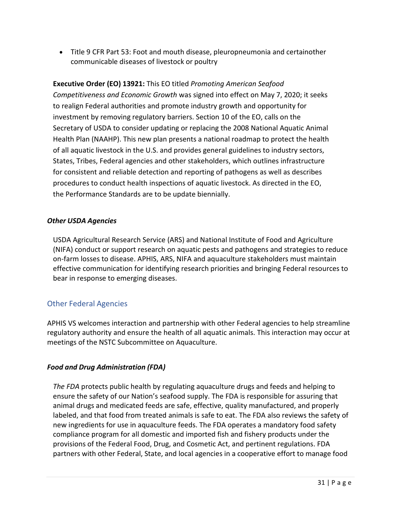• Title 9 CFR Part 53: Foot and mouth disease, pleuropneumonia and certainother communicable diseases of livestock or poultry

# **Executive Order (EO) 13921:** This EO titled *Promoting American Seafood Competitiveness and Economic Growth* was signed into effect on May 7, 2020; it seeks to realign Federal authorities and promote industry growth and opportunity for investment by removing regulatory barriers. Section 10 of the EO, calls on the Secretary of USDA to consider updating or replacing the 2008 National Aquatic Animal Health Plan (NAAHP). This new plan presents a national roadmap to protect the health of all aquatic livestock in the U.S. and provides general guidelines to industry sectors, States, Tribes, Federal agencies and other stakeholders, which outlines infrastructure for consistent and reliable detection and reporting of pathogens as well as describes procedures to conduct health inspections of aquatic livestock. As directed in the EO, the Performance Standards are to be update biennially.

#### *Other USDA Agencies*

USDA Agricultural Research Service (ARS) and National Institute of Food and Agriculture (NIFA) conduct or support research on aquatic pests and pathogens and strategies to reduce on-farm losses to disease. APHIS, ARS, NIFA and aquaculture stakeholders must maintain effective communication for identifying research priorities and bringing Federal resources to bear in response to emerging diseases.

# Other Federal Agencies

APHIS VS welcomes interaction and partnership with other Federal agencies to help streamline regulatory authority and ensure the health of all aquatic animals. This interaction may occur at meetings of the NSTC Subcommittee on Aquaculture.

## *Food and Drug Administration (FDA)*

*The FDA* protects public health by regulating aquaculture drugs and feeds and helping to ensure the safety of our Nation's seafood supply. The FDA is responsible for assuring that animal drugs and medicated feeds are safe, effective, quality manufactured, and properly labeled, and that food from treated animals is safe to eat. The FDA also reviews the safety of new ingredients for use in aquaculture feeds. The FDA operates a mandatory food safety compliance program for all domestic and imported fish and fishery products under the provisions of the Federal Food, Drug, and Cosmetic Act, and pertinent regulations. FDA partners with other Federal, State, and local agencies in a cooperative effort to manage food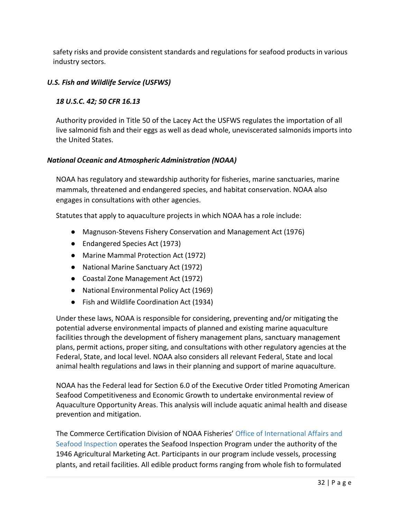safety risks and provide consistent standards and regulations for seafood products in various industry sectors.

#### *U.S. Fish and Wildlife Service (USFWS)*

#### *18 U.S.C. 42; 50 CFR 16.13*

Authority provided in Title 50 of the Lacey Act the USFWS regulates the importation of all live salmonid fish and their eggs as well as dead whole, uneviscerated salmonids imports into the United States.

#### *National Oceanic and Atmospheric Administration (NOAA)*

NOAA has regulatory and stewardship authority for fisheries, marine sanctuaries, marine mammals, threatened and endangered species, and habitat conservation. NOAA also engages in consultations with other agencies.

Statutes that apply to aquaculture projects in which NOAA has a role include:

- Magnuson-Stevens Fishery Conservation and Management Act (1976)
- Endangered Species Act (1973)
- Marine Mammal Protection Act (1972)
- National Marine Sanctuary Act (1972)
- Coastal Zone Management Act (1972)
- National Environmental Policy Act (1969)
- Fish and Wildlife Coordination Act (1934)

Under these laws, NOAA is responsible for considering, preventing and/or mitigating the potential adverse environmental impacts of planned and existing marine aquaculture facilities through the development of fishery management plans, sanctuary management plans, permit actions, proper siting, and consultations with other regulatory agencies at the Federal, State, and local level. NOAA also considers all relevant Federal, State and local animal health regulations and laws in their planning and support of marine aquaculture.

NOAA has the Federal lead for Section 6.0 of the Executive Order titled Promoting American Seafood Competitiveness and Economic Growth to undertake environmental review of Aquaculture Opportunity Areas. This analysis will include aquatic animal health and disease prevention and mitigation.

The Commerce Certification Division of NOAA Fisheries' [Office of International Affairs and](https://www.fisheries.noaa.gov/about/office-international-affairs-seafood-inspection) [Seafood Inspection](https://www.fisheries.noaa.gov/about/office-international-affairs-seafood-inspection) operates the Seafood Inspection Program under the authority of the 1946 Agricultural Marketing Act. Participants in our program include vessels, processing plants, and retail facilities. All edible product forms ranging from whole fish to formulated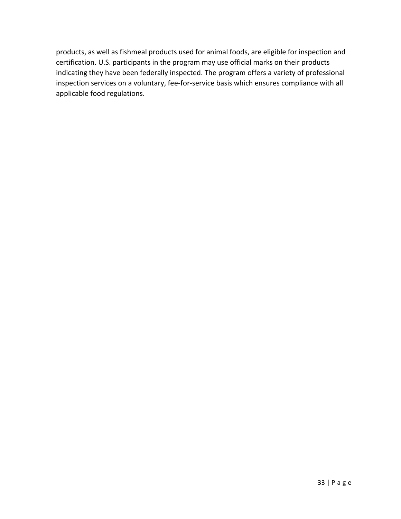products, as well as fishmeal products used for animal foods, are eligible for inspection and certification. U.S. participants in the program may use official marks on their products indicating they have been federally inspected. The program offers a variety of professional inspection services on a voluntary, fee-for-service basis which ensures compliance with all applicable food regulations.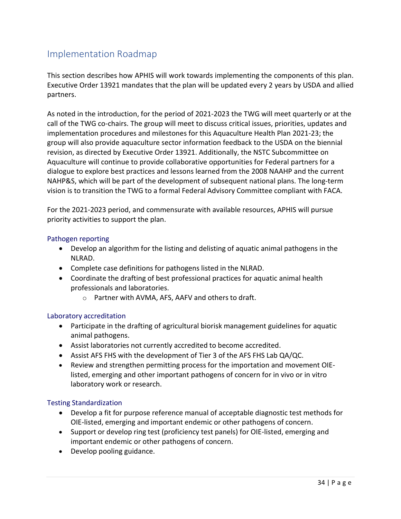# Implementation Roadmap

This section describes how APHIS will work towards implementing the components of this plan. Executive Order 13921 mandates that the plan will be updated every 2 years by USDA and allied partners.

As noted in the introduction, for the period of 2021-2023 the TWG will meet quarterly or at the call of the TWG co-chairs. The group will meet to discuss critical issues, priorities, updates and implementation procedures and milestones for this Aquaculture Health Plan 2021-23; the group will also provide aquaculture sector information feedback to the USDA on the biennial revision, as directed by Executive Order 13921. Additionally, the NSTC Subcommittee on Aquaculture will continue to provide collaborative opportunities for Federal partners for a dialogue to explore best practices and lessons learned from the 2008 NAAHP and the current NAHP&S, which will be part of the development of subsequent national plans. The long-term vision is to transition the TWG to a formal Federal Advisory Committee compliant with FACA.

For the 2021-2023 period, and commensurate with available resources, APHIS will pursue priority activities to support the plan.

#### Pathogen reporting

- Develop an algorithm for the listing and delisting of aquatic animal pathogens in the NLRAD.
- Complete case definitions for pathogens listed in the NLRAD.
- Coordinate the drafting of best professional practices for aquatic animal health professionals and laboratories.
	- o Partner with AVMA, AFS, AAFV and others to draft.

#### Laboratory accreditation

- Participate in the drafting of agricultural biorisk management guidelines for aquatic animal pathogens.
- Assist laboratories not currently accredited to become accredited.
- Assist AFS FHS with the development of Tier 3 of the AFS FHS Lab QA/QC.
- Review and strengthen permitting process for the importation and movement OIElisted, emerging and other important pathogens of concern for in vivo or in vitro laboratory work or research.

#### Testing Standardization

- Develop a fit for purpose reference manual of acceptable diagnostic test methods for OIE-listed, emerging and important endemic or other pathogens of concern.
- Support or develop ring test (proficiency test panels) for OIE-listed, emerging and important endemic or other pathogens of concern.
- Develop pooling guidance.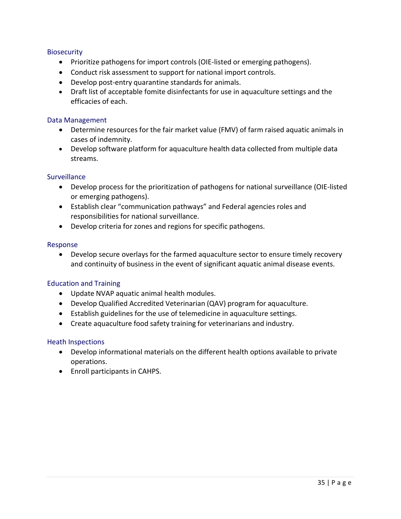#### **Biosecurity**

- Prioritize pathogens for import controls (OIE-listed or emerging pathogens).
- Conduct risk assessment to support for national import controls.
- Develop post-entry quarantine standards for animals.
- Draft list of acceptable fomite disinfectants for use in aquaculture settings and the efficacies of each.

#### Data Management

- Determine resources for the fair market value (FMV) of farm raised aquatic animals in cases of indemnity.
- Develop software platform for aquaculture health data collected from multiple data streams.

#### **Surveillance**

- Develop process for the prioritization of pathogens for national surveillance (OIE-listed or emerging pathogens).
- Establish clear "communication pathways" and Federal agencies roles and responsibilities for national surveillance.
- Develop criteria for zones and regions for specific pathogens.

#### Response

• Develop secure overlays for the farmed aquaculture sector to ensure timely recovery and continuity of business in the event of significant aquatic animal disease events.

#### Education and Training

- Update NVAP aquatic animal health modules.
- Develop Qualified Accredited Veterinarian (QAV) program for aquaculture.
- Establish guidelines for the use of telemedicine in aquaculture settings.
- Create aquaculture food safety training for veterinarians and industry.

#### Heath Inspections

- Develop informational materials on the different health options available to private operations.
- Enroll participants in CAHPS.